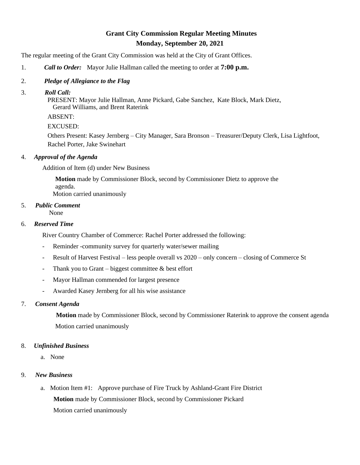# **Grant City Commission Regular Meeting Minutes Monday, September 20, 2021**

The regular meeting of the Grant City Commission was held at the City of Grant Offices.

- 1. *Call to Order:* Mayor Julie Hallman called the meeting to order at **7:00 p.m.**
- 2. *Pledge of Allegiance to the Flag*
- 3. *Roll Call:*

 PRESENT: Mayor Julie Hallman, Anne Pickard, Gabe Sanchez, Kate Block, Mark Dietz, Gerard Williams, and Brent Raterink

ABSENT:

EXCUSED:

Others Present: Kasey Jernberg – City Manager, Sara Bronson – Treasurer/Deputy Clerk, Lisa Lightfoot, Rachel Porter, Jake Swinehart

## 4. *Approval of the Agenda*

Addition of Item (d) under New Business

 **Motion** made by Commissioner Block, second by Commissioner Dietz to approve the agenda. Motion carried unanimously

# 5. *Public Comment*

None

## 6. *Reserved Time*

River Country Chamber of Commerce: Rachel Porter addressed the following:

- Reminder -community survey for quarterly water/sewer mailing
- Result of Harvest Festival less people overall vs 2020 only concern closing of Commerce St
- Thank you to Grant biggest committee  $\&$  best effort
- Mayor Hallman commended for largest presence
- Awarded Kasey Jernberg for all his wise assistance

# 7. *Consent Agenda*

 **Motion** made by Commissioner Block, second by Commissioner Raterink to approve the consent agenda Motion carried unanimously

#### 8. *Unfinished Business*

a. None

# 9. *New Business*

 a. Motion Item #1: Approve purchase of Fire Truck by Ashland-Grant Fire District **Motion** made by Commissioner Block, second by Commissioner Pickard Motion carried unanimously